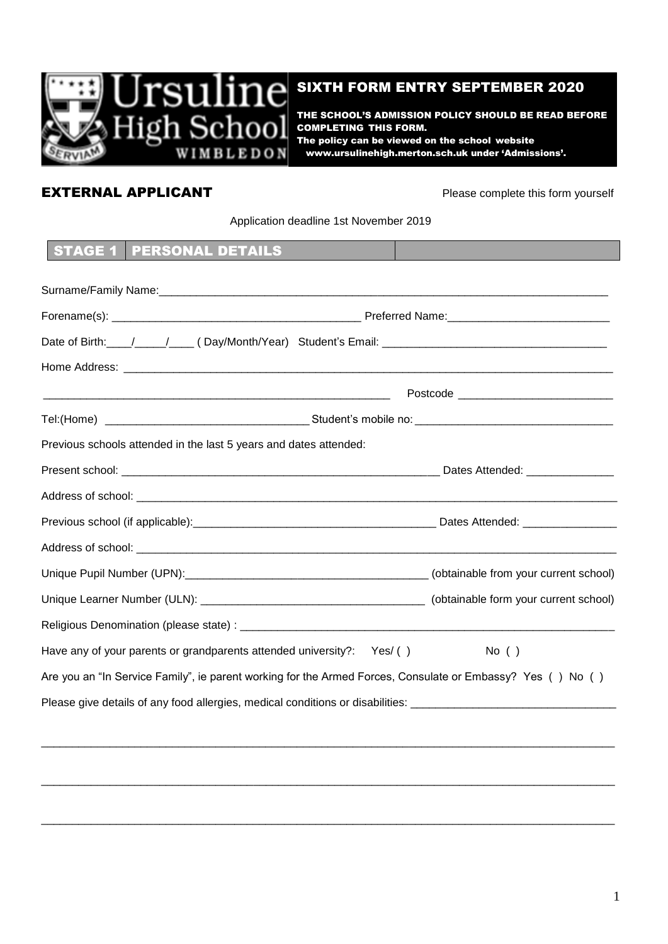

## SIXTH FORM ENTRY SEPTEMBER 2020

THE SCHOOL'S ADMISSION POLICY SHOULD BE READ BEFORE COMPLETING THIS FORM. The policy can be viewed on the school website www.ursulinehigh.merton.sch.uk under 'Admissions'.

**SIXTH FORM ENTRY SEPTEMER** 

# **EXTERNAL APPLICANT Please complete this form yourself**

# Application deadline 1st November 2019

**The policy can be viewed on the school website  [www.ursulinehigh.merton.sch.uk](http://www.ursulinehigh.merton.sch.uk/) under 'Admissions'.**

# STAGE 1 PERSONAL DETAILS

|                                                                                                                | Postcode ____________________________ |  |  |  |
|----------------------------------------------------------------------------------------------------------------|---------------------------------------|--|--|--|
|                                                                                                                |                                       |  |  |  |
| Previous schools attended in the last 5 years and dates attended:                                              |                                       |  |  |  |
| Dates Attended: ________________                                                                               |                                       |  |  |  |
|                                                                                                                |                                       |  |  |  |
|                                                                                                                |                                       |  |  |  |
|                                                                                                                |                                       |  |  |  |
| Unique Pupil Number (UPN): [19] (Obtainable from your current school)                                          |                                       |  |  |  |
|                                                                                                                |                                       |  |  |  |
|                                                                                                                |                                       |  |  |  |
| Have any of your parents or grandparents attended university?: Yes/()                                          | $No$ ( )                              |  |  |  |
| Are you an "In Service Family", ie parent working for the Armed Forces, Consulate or Embassy? Yes () No ()     |                                       |  |  |  |
| Please give details of any food allergies, medical conditions or disabilities: _______________________________ |                                       |  |  |  |

\_\_\_\_\_\_\_\_\_\_\_\_\_\_\_\_\_\_\_\_\_\_\_\_\_\_\_\_\_\_\_\_\_\_\_\_\_\_\_\_\_\_\_\_\_\_\_\_\_\_\_\_\_\_\_\_\_\_\_\_\_\_\_\_\_\_\_\_\_\_\_\_\_\_\_\_\_\_\_\_\_\_\_\_\_\_\_\_\_\_\_\_

 $\overline{a_1}$  ,  $\overline{a_2}$  ,  $\overline{a_3}$  ,  $\overline{a_4}$  ,  $\overline{a_5}$  ,  $\overline{a_6}$  ,  $\overline{a_7}$  ,  $\overline{a_8}$  ,  $\overline{a_9}$  ,  $\overline{a_9}$  ,  $\overline{a_9}$  ,  $\overline{a_9}$  ,  $\overline{a_9}$  ,  $\overline{a_9}$  ,  $\overline{a_9}$  ,  $\overline{a_9}$  ,  $\overline{a_9}$  ,

\_\_\_\_\_\_\_\_\_\_\_\_\_\_\_\_\_\_\_\_\_\_\_\_\_\_\_\_\_\_\_\_\_\_\_\_\_\_\_\_\_\_\_\_\_\_\_\_\_\_\_\_\_\_\_\_\_\_\_\_\_\_\_\_\_\_\_\_\_\_\_\_\_\_\_\_\_\_\_\_\_\_\_\_\_\_\_\_\_\_\_\_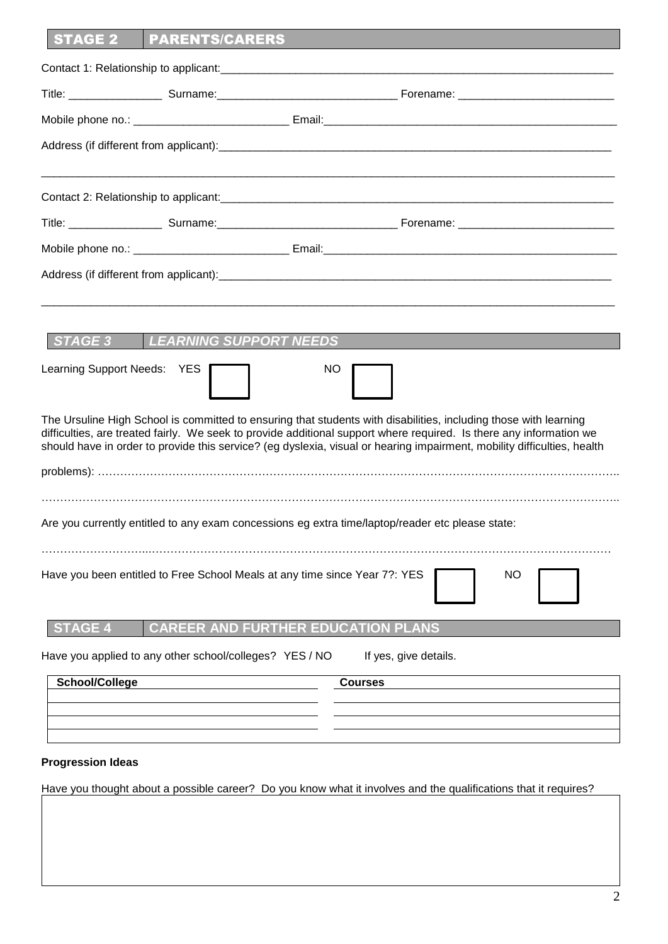| <b>STAGE 2</b>              | <b>PARENTS/CARERS</b>                                                      |                                                                                                                                                                                                                                                                                                                                                                    |
|-----------------------------|----------------------------------------------------------------------------|--------------------------------------------------------------------------------------------------------------------------------------------------------------------------------------------------------------------------------------------------------------------------------------------------------------------------------------------------------------------|
|                             |                                                                            |                                                                                                                                                                                                                                                                                                                                                                    |
|                             |                                                                            |                                                                                                                                                                                                                                                                                                                                                                    |
|                             |                                                                            |                                                                                                                                                                                                                                                                                                                                                                    |
|                             |                                                                            |                                                                                                                                                                                                                                                                                                                                                                    |
|                             |                                                                            |                                                                                                                                                                                                                                                                                                                                                                    |
|                             |                                                                            |                                                                                                                                                                                                                                                                                                                                                                    |
|                             |                                                                            |                                                                                                                                                                                                                                                                                                                                                                    |
|                             |                                                                            |                                                                                                                                                                                                                                                                                                                                                                    |
|                             |                                                                            |                                                                                                                                                                                                                                                                                                                                                                    |
| STAGE 3                     | <b>LEARNING SUPPORT NEEDS</b>                                              |                                                                                                                                                                                                                                                                                                                                                                    |
|                             |                                                                            |                                                                                                                                                                                                                                                                                                                                                                    |
| Learning Support Needs: YES |                                                                            | <b>NO</b>                                                                                                                                                                                                                                                                                                                                                          |
|                             |                                                                            | The Ursuline High School is committed to ensuring that students with disabilities, including those with learning<br>difficulties, are treated fairly. We seek to provide additional support where required. Is there any information we<br>should have in order to provide this service? (eg dyslexia, visual or hearing impairment, mobility difficulties, health |
|                             |                                                                            |                                                                                                                                                                                                                                                                                                                                                                    |
|                             |                                                                            | Are you currently entitled to any exam concessions eg extra time/laptop/reader etc please state:                                                                                                                                                                                                                                                                   |
|                             | Have you been entitled to Free School Meals at any time since Year 7?: YES | <b>NO</b>                                                                                                                                                                                                                                                                                                                                                          |
| <b>TAGE 4</b>               | <b>CAREER</b>                                                              | <b>D FURTHER EDUCATION PLANS</b>                                                                                                                                                                                                                                                                                                                                   |
|                             | Have you applied to any other school/colleges? YES / NO                    | If yes, give details.                                                                                                                                                                                                                                                                                                                                              |
| <b>School/College</b>       |                                                                            | <b>Courses</b>                                                                                                                                                                                                                                                                                                                                                     |
|                             |                                                                            |                                                                                                                                                                                                                                                                                                                                                                    |
|                             |                                                                            |                                                                                                                                                                                                                                                                                                                                                                    |

### **Progression Ideas**

Have you thought about a possible career? Do you know what it involves and the qualifications that it requires?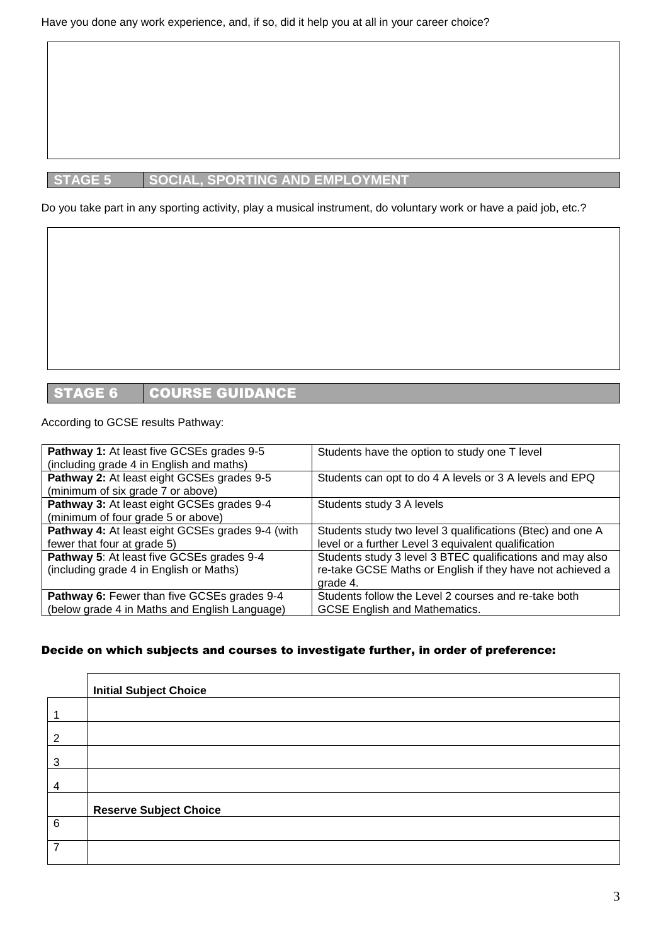# **STAGE 5 SOCIAL, SPORTING AND EMPLOYMENT**

Do you take part in any sporting activity, play a musical instrument, do voluntary work or have a paid job, etc.?

# STAGE 6 COURSE GUIDANCE

#### According to GCSE results Pathway:

| Pathway 1: At least five GCSEs grades 9-5        | Students have the option to study one T level              |
|--------------------------------------------------|------------------------------------------------------------|
| (including grade 4 in English and maths)         |                                                            |
| Pathway 2: At least eight GCSEs grades 9-5       | Students can opt to do 4 A levels or 3 A levels and EPQ    |
| (minimum of six grade 7 or above)                |                                                            |
| Pathway 3: At least eight GCSEs grades 9-4       | Students study 3 A levels                                  |
| (minimum of four grade 5 or above)               |                                                            |
| Pathway 4: At least eight GCSEs grades 9-4 (with | Students study two level 3 qualifications (Btec) and one A |
| fewer that four at grade 5)                      | level or a further Level 3 equivalent qualification        |
| Pathway 5: At least five GCSEs grades 9-4        | Students study 3 level 3 BTEC qualifications and may also  |
| (including grade 4 in English or Maths)          | re-take GCSE Maths or English if they have not achieved a  |
|                                                  | grade 4.                                                   |
| Pathway 6: Fewer than five GCSEs grades 9-4      | Students follow the Level 2 courses and re-take both       |
| (below grade 4 in Maths and English Language)    | <b>GCSE English and Mathematics.</b>                       |

### Decide on which subjects and courses to investigate further, in order of preference:

|                 | <b>Initial Subject Choice</b> |
|-----------------|-------------------------------|
| 1               |                               |
| $\overline{2}$  |                               |
| $\sqrt{3}$      |                               |
| $\overline{4}$  |                               |
|                 | <b>Reserve Subject Choice</b> |
| $6\phantom{1}6$ |                               |
| $\overline{7}$  |                               |
|                 |                               |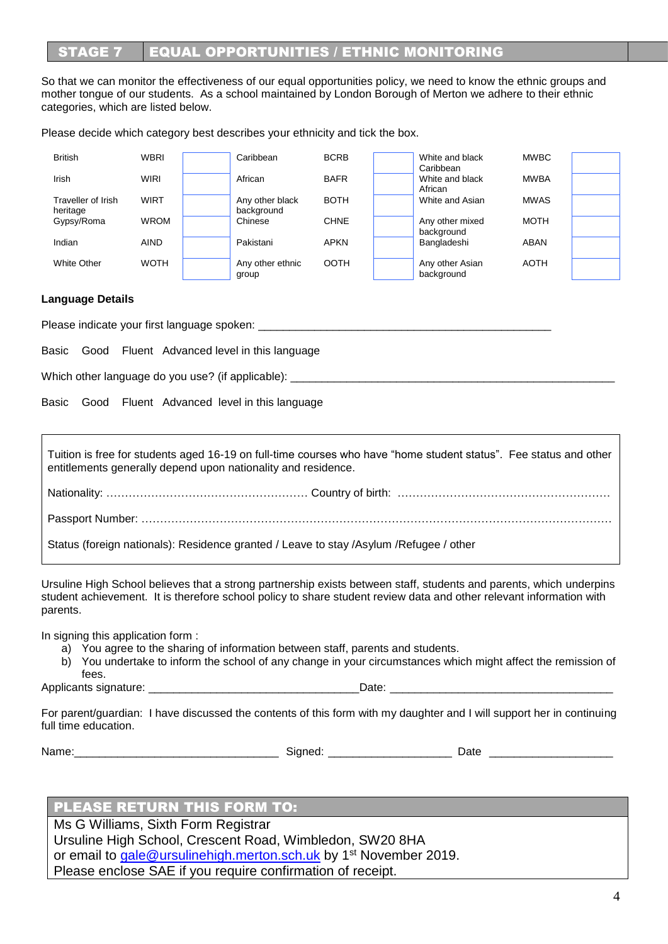# **STAGE 7 EQUAL OPPORTUNITIES / ETHNIC MONITORING**

So that we can monitor the effectiveness of our equal opportunities policy, we need to know the ethnic groups and mother tongue of our students. As a school maintained by London Borough of Merton we adhere to their ethnic categories, which are listed below.

Please decide which category best describes your ethnicity and tick the box.

| British                        | <b>WBRI</b> | Caribbean                     | <b>BCRB</b> | White and black<br>Caribbean  | <b>MWBC</b> |  |
|--------------------------------|-------------|-------------------------------|-------------|-------------------------------|-------------|--|
| Irish                          | <b>WIRI</b> | African                       | <b>BAFR</b> | White and black<br>African    | <b>MWBA</b> |  |
| Traveller of Irish<br>heritage | <b>WIRT</b> | Any other black<br>background | <b>BOTH</b> | White and Asian               | <b>MWAS</b> |  |
| Gypsy/Roma                     | <b>WROM</b> | Chinese                       | <b>CHNE</b> | Any other mixed<br>background | MOTH        |  |
| Indian                         | <b>AIND</b> | Pakistani                     | <b>APKN</b> | Bangladeshi                   | ABAN        |  |
| White Other                    | <b>WOTH</b> | Any other ethnic<br>group     | <b>OOTH</b> | Any other Asian<br>background | AOTH        |  |

#### **Language Details**

Please indicate your first language spoken:

Basic Good Fluent Advanced level in this language

Which other language do you use? (if applicable):

Basic Good Fluent Advanced level in this language

Tuition is free for students aged 16-19 on full-time courses who have "home student status". Fee status and other entitlements generally depend upon nationality and residence. Nationality: ……………………………………………… Country of birth: ………………………………………………… Passport Number: ……………………………………………………………………………………………………………… Status (foreign nationals): Residence granted / Leave to stay /Asylum /Refugee / other

Ursuline High School believes that a strong partnership exists between staff, students and parents, which underpins student achievement. It is therefore school policy to share student review data and other relevant information with parents.

In signing this application form :

- a) You agree to the sharing of information between staff, parents and students.
- b) You undertake to inform the school of any change in your circumstances which might affect the remission of fees.

Applicants signature: \_\_\_\_\_\_\_\_\_\_\_\_\_\_\_\_\_\_\_\_\_\_\_\_\_\_\_\_\_\_\_\_\_\_Date: \_\_\_\_\_\_\_\_\_\_\_\_\_\_\_\_\_\_\_\_\_\_\_\_\_\_\_\_\_\_\_\_\_\_\_\_

For parent/guardian: I have discussed the contents of this form with my daughter and I will support her in continuing full time education.

Name:\_\_\_\_\_\_\_\_\_\_\_\_\_\_\_\_\_\_\_\_\_\_\_\_\_\_\_\_\_\_\_\_\_ Signed: \_\_\_\_\_\_\_\_\_\_\_\_\_\_\_\_\_\_\_\_ Date \_\_\_\_\_\_\_\_\_\_\_\_\_\_\_\_\_\_\_\_

# PLEASE RETURN THIS FORM TO:

Ms G Williams, Sixth Form Registrar Ursuline High School, Crescent Road, Wimbledon, SW20 8HA or email to [gale@ursulinehigh.merton.sch.uk](mailto:gale@ursulinehigh.merton.sch.uk) by 1<sup>st</sup> November 2019. Please enclose SAE if you require confirmation of receipt.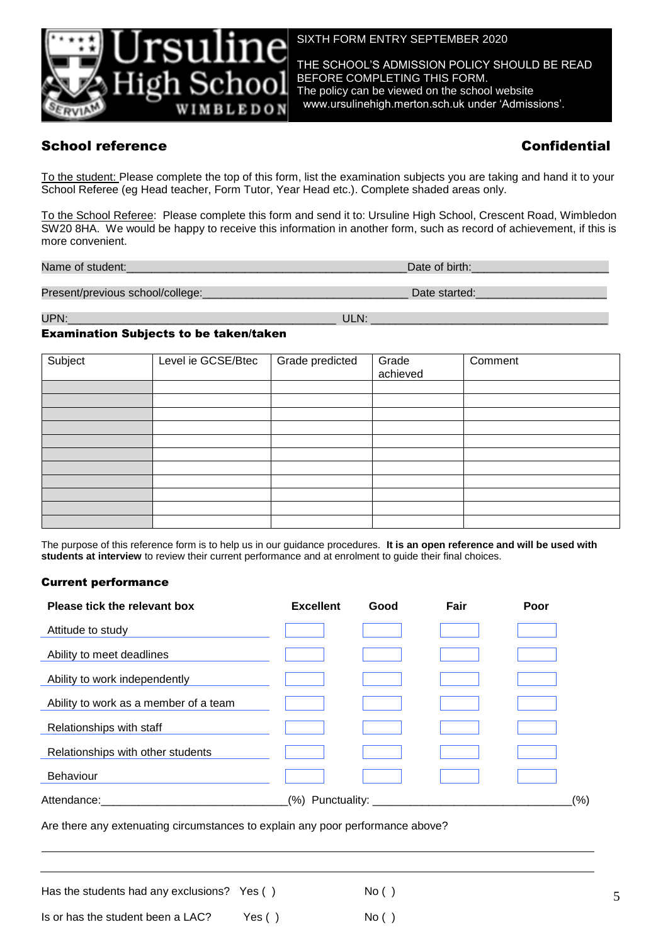

SIXTH FORM ENTRY SEPTEMBER 2020

THE SCHOOL'S ADMISSION POLICY SHOULD BE READ BEFORE COMPLETING THIS FORM. The policy can be viewed on the school website www.ursulinehigh.merton.sch.uk under 'Admissions'.

# School reference Confidential

To the student: Please complete the top of this form, list the examination subjects you are taking and hand it to your School Referee (eg Head teacher, Form Tutor, Year Head etc.). Complete shaded areas only.

To the School Referee: Please complete this form and send it to: Ursuline High School, Crescent Road, Wimbledon SW20 8HA. We would be happy to receive this information in another form, such as record of achievement, if this is more convenient.

Name of student:  $\blacksquare$ 

Present/previous school/college:\_\_\_\_\_\_\_\_\_\_\_\_\_\_\_\_\_\_\_\_\_\_\_\_\_\_\_\_\_\_\_\_\_ Date started:\_\_\_\_\_\_\_\_\_\_\_\_\_\_\_\_\_\_\_\_\_

UPN:\_\_\_\_\_\_\_\_\_\_\_\_\_\_\_\_\_\_\_\_\_\_\_\_\_\_\_\_\_\_\_\_\_\_\_\_\_\_\_\_\_\_\_ ULN: \_\_\_\_\_\_\_\_\_\_\_\_\_\_\_\_\_\_\_\_\_\_\_\_\_\_\_\_\_\_\_\_\_\_\_\_\_\_

#### Examination Subjects to be taken/taken

| Subject | Level ie GCSE/Btec | Grade predicted | Grade<br>achieved | Comment |
|---------|--------------------|-----------------|-------------------|---------|
|         |                    |                 |                   |         |
|         |                    |                 |                   |         |
|         |                    |                 |                   |         |
|         |                    |                 |                   |         |
|         |                    |                 |                   |         |
|         |                    |                 |                   |         |
|         |                    |                 |                   |         |
|         |                    |                 |                   |         |
|         |                    |                 |                   |         |
|         |                    |                 |                   |         |
|         |                    |                 |                   |         |

The purpose of this reference form is to help us in our guidance procedures. **It is an open reference and will be used with students at interview** to review their current performance and at enrolment to guide their final choices.

#### Current performance

| Please tick the relevant box          | <b>Excellent</b> | Good | Fair | Poor |
|---------------------------------------|------------------|------|------|------|
| Attitude to study                     |                  |      |      |      |
| Ability to meet deadlines             |                  |      |      |      |
| Ability to work independently         |                  |      |      |      |
| Ability to work as a member of a team |                  |      |      |      |
| Relationships with staff              |                  |      |      |      |
| Relationships with other students     |                  |      |      |      |
| Behaviour                             |                  |      |      |      |
| Attendance:                           | (% )             |      |      | (% ) |
|                                       |                  |      |      |      |

Are there any extenuating circumstances to explain any poor performance above?

Has the students had any exclusions? Yes  $( )$  No  $( )$ Is or has the student been a LAC? Yes () No ()